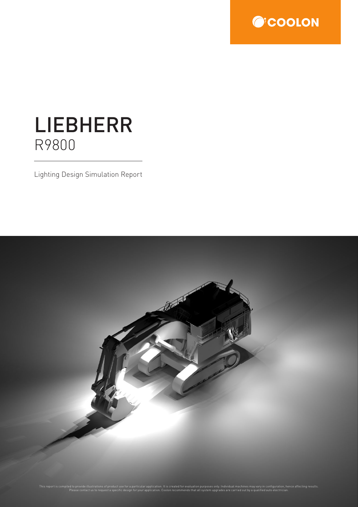

## LIEBHERR R9800

Lighting Design Simulation Report

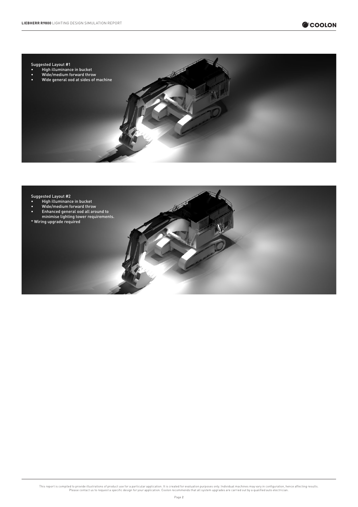

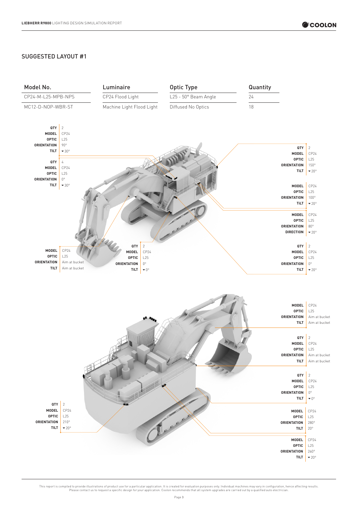## SUGGESTED LAYOUT #1

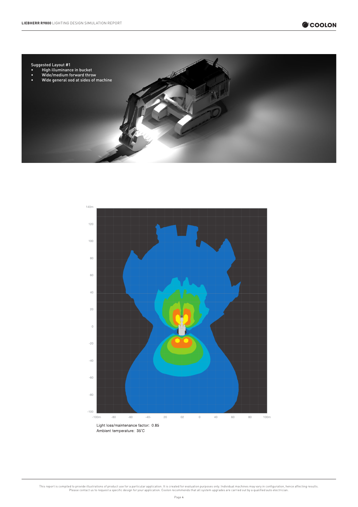

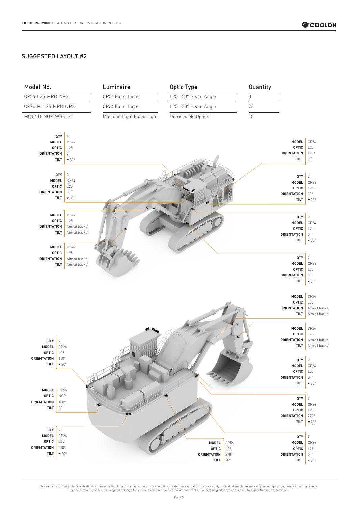## SUGGESTED LAYOUT #2